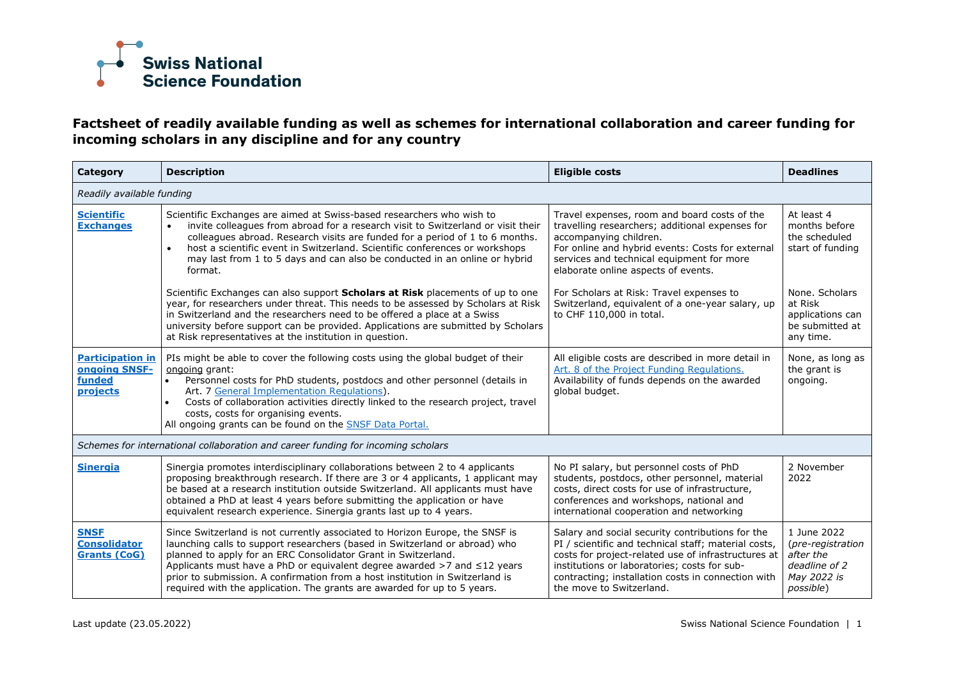

## **Factsheet of readily available funding as well as schemes for international collaboration and career funding for incoming scholars in any discipline and for any country**

| Category                                                                         | <b>Description</b>                                                                                                                                                                                                                                                                                                                                                                                                                                                     | <b>Eligible costs</b>                                                                                                                                                                                                                                                                             | <b>Deadlines</b>                                                                           |  |
|----------------------------------------------------------------------------------|------------------------------------------------------------------------------------------------------------------------------------------------------------------------------------------------------------------------------------------------------------------------------------------------------------------------------------------------------------------------------------------------------------------------------------------------------------------------|---------------------------------------------------------------------------------------------------------------------------------------------------------------------------------------------------------------------------------------------------------------------------------------------------|--------------------------------------------------------------------------------------------|--|
| Readily available funding                                                        |                                                                                                                                                                                                                                                                                                                                                                                                                                                                        |                                                                                                                                                                                                                                                                                                   |                                                                                            |  |
| <b>Scientific</b><br><b>Exchanges</b>                                            | Scientific Exchanges are aimed at Swiss-based researchers who wish to<br>invite colleagues from abroad for a research visit to Switzerland or visit their<br>colleagues abroad. Research visits are funded for a period of 1 to 6 months.<br>host a scientific event in Switzerland. Scientific conferences or workshops<br>$\bullet$<br>may last from 1 to 5 days and can also be conducted in an online or hybrid<br>format.                                         | Travel expenses, room and board costs of the<br>travelling researchers; additional expenses for<br>accompanying children.<br>For online and hybrid events: Costs for external<br>services and technical equipment for more<br>elaborate online aspects of events.                                 | At least 4<br>months before<br>the scheduled<br>start of funding                           |  |
|                                                                                  | Scientific Exchanges can also support <b>Scholars at Risk</b> placements of up to one<br>year, for researchers under threat. This needs to be assessed by Scholars at Risk<br>in Switzerland and the researchers need to be offered a place at a Swiss<br>university before support can be provided. Applications are submitted by Scholars<br>at Risk representatives at the institution in question.                                                                 | For Scholars at Risk: Travel expenses to<br>Switzerland, equivalent of a one-year salary, up<br>to CHF 110,000 in total.                                                                                                                                                                          | None. Scholars<br>at Risk<br>applications can<br>be submitted at<br>any time.              |  |
| <b>Participation in</b><br>ongoing SNSF-<br>funded<br>projects                   | PIs might be able to cover the following costs using the global budget of their<br>ongoing grant:<br>Personnel costs for PhD students, postdocs and other personnel (details in<br>$\bullet$<br>Art. 7 General Implementation Regulations).<br>Costs of collaboration activities directly linked to the research project, travel<br>costs, costs for organising events.<br>All ongoing grants can be found on the <b>SNSF Data Portal.</b>                             | All eligible costs are described in more detail in<br>Art. 8 of the Project Funding Regulations.<br>Availability of funds depends on the awarded<br>global budget.                                                                                                                                | None, as long as<br>the grant is<br>ongoing.                                               |  |
| Schemes for international collaboration and career funding for incoming scholars |                                                                                                                                                                                                                                                                                                                                                                                                                                                                        |                                                                                                                                                                                                                                                                                                   |                                                                                            |  |
| <b>Sinergia</b>                                                                  | Sinergia promotes interdisciplinary collaborations between 2 to 4 applicants<br>proposing breakthrough research. If there are 3 or 4 applicants, 1 applicant may<br>be based at a research institution outside Switzerland. All applicants must have<br>obtained a PhD at least 4 years before submitting the application or have<br>equivalent research experience. Sinergia grants last up to 4 years.                                                               | No PI salary, but personnel costs of PhD<br>students, postdocs, other personnel, material<br>costs, direct costs for use of infrastructure,<br>conferences and workshops, national and<br>international cooperation and networking                                                                | 2 November<br>2022                                                                         |  |
| <b>SNSF</b><br><b>Consolidator</b><br><b>Grants (CoG)</b>                        | Since Switzerland is not currently associated to Horizon Europe, the SNSF is<br>launching calls to support researchers (based in Switzerland or abroad) who<br>planned to apply for an ERC Consolidator Grant in Switzerland.<br>Applicants must have a PhD or equivalent degree awarded >7 and ≤12 years<br>prior to submission. A confirmation from a host institution in Switzerland is<br>required with the application. The grants are awarded for up to 5 years. | Salary and social security contributions for the<br>PI / scientific and technical staff; material costs,<br>costs for project-related use of infrastructures at<br>institutions or laboratories; costs for sub-<br>contracting; installation costs in connection with<br>the move to Switzerland. | 1 June 2022<br>(pre-registration<br>after the<br>deadline of 2<br>May 2022 is<br>possible) |  |